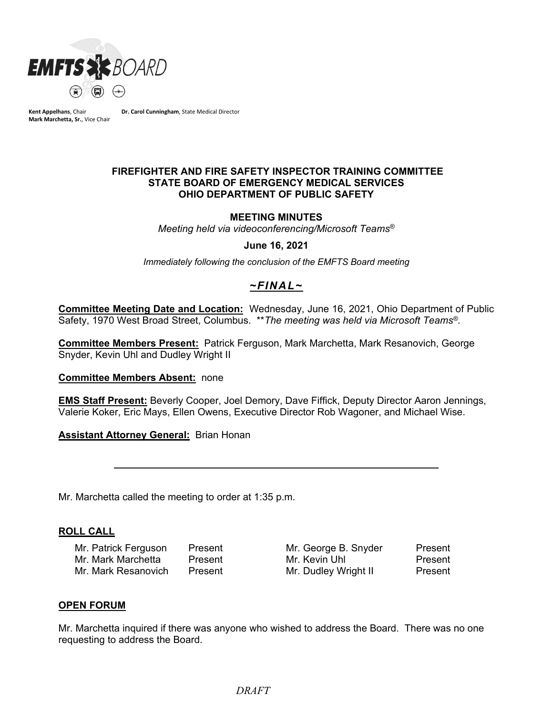

**Kent Appelhans**, Chair **Mark Marchetta, Sr.**, Vice Chair **Dr. Carol Cunningham**, State Medical Director

#### **FIREFIGHTER AND FIRE SAFETY INSPECTOR TRAINING COMMITTEE STATE BOARD OF EMERGENCY MEDICAL SERVICES OHIO DEPARTMENT OF PUBLIC SAFETY**

#### **MEETING MINUTES**

*Meeting held via videoconferencing/Microsoft Teams®*

#### **June 16, 2021**

*Immediately following the conclusion of the EMFTS Board meeting*

# *~FINAL~*

**Committee Meeting Date and Location:** Wednesday, June 16, 2021, Ohio Department of Public Safety, 1970 West Broad Street, Columbus. \*\**The meeting was held via Microsoft Teams®.*

**Committee Members Present:** Patrick Ferguson, Mark Marchetta, Mark Resanovich, George Snyder, Kevin Uhl and Dudley Wright II

#### **Committee Members Absent:** none

**EMS Staff Present:** Beverly Cooper, Joel Demory, Dave Fiffick, Deputy Director Aaron Jennings, Valerie Koker, Eric Mays, Ellen Owens, Executive Director Rob Wagoner, and Michael Wise.

**Assistant Attorney General:** Brian Honan

Mr. Marchetta called the meeting to order at 1:35 p.m.

#### **ROLL CALL**

Mr. Patrick Ferguson Present Mr. George B. Snyder Present Mr. Mark Marchetta Present Mr. Kevin Uhl Present Mr. Mark Resanovich Present Mr. Dudley Wright II Present

#### **OPEN FORUM**

Mr. Marchetta inquired if there was anyone who wished to address the Board. There was no one requesting to address the Board.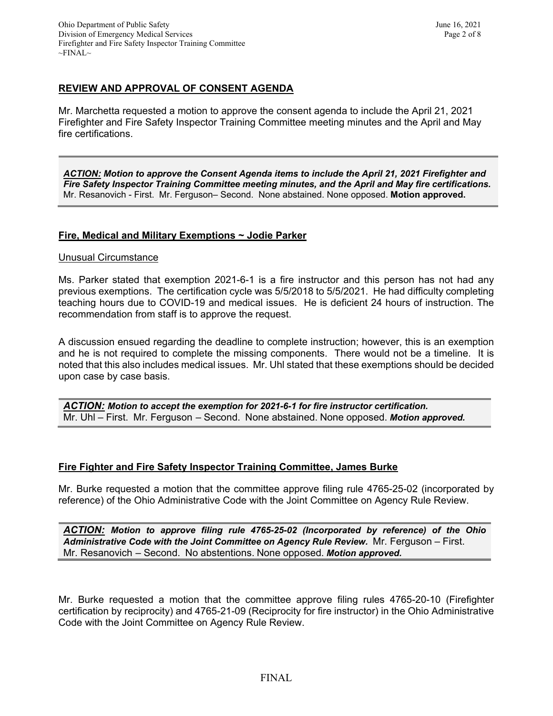# **REVIEW AND APPROVAL OF CONSENT AGENDA**

Mr. Marchetta requested a motion to approve the consent agenda to include the April 21, 2021 Firefighter and Fire Safety Inspector Training Committee meeting minutes and the April and May fire certifications.

*ACTION: Motion to approve the Consent Agenda items to include the April 21, 2021 Firefighter and Fire Safety Inspector Training Committee meeting minutes, and the April and May fire certifications.* Mr. Resanovich - First. Mr. Ferguson– Second. None abstained. None opposed. **Motion approved.**

## **Fire, Medical and Military Exemptions ~ Jodie Parker**

#### Unusual Circumstance

Ms. Parker stated that exemption 2021-6-1 is a fire instructor and this person has not had any previous exemptions. The certification cycle was 5/5/2018 to 5/5/2021. He had difficulty completing teaching hours due to COVID-19 and medical issues. He is deficient 24 hours of instruction. The recommendation from staff is to approve the request.

A discussion ensued regarding the deadline to complete instruction; however, this is an exemption and he is not required to complete the missing components. There would not be a timeline. It is noted that this also includes medical issues. Mr. Uhl stated that these exemptions should be decided upon case by case basis.

*ACTION: Motion to accept the exemption for 2021-6-1 for fire instructor certification.* Mr. Uhl – First. Mr. Ferguson – Second. None abstained. None opposed. *Motion approved.*

## **Fire Fighter and Fire Safety Inspector Training Committee, James Burke**

Mr. Burke requested a motion that the committee approve filing rule 4765-25-02 (incorporated by reference) of the Ohio Administrative Code with the Joint Committee on Agency Rule Review.

*ACTION: Motion to approve filing rule 4765-25-02 (Incorporated by reference) of the Ohio Administrative Code with the Joint Committee on Agency Rule Review.* Mr. Ferguson – First. Mr. Resanovich – Second. No abstentions. None opposed. *Motion approved.*

Mr. Burke requested a motion that the committee approve filing rules 4765-20-10 (Firefighter certification by reciprocity) and 4765-21-09 (Reciprocity for fire instructor) in the Ohio Administrative Code with the Joint Committee on Agency Rule Review.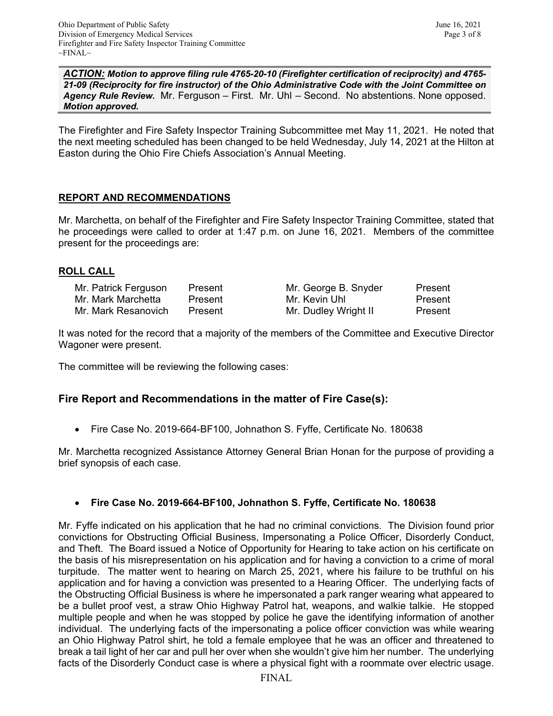*ACTION: Motion to approve filing rule 4765-20-10 (Firefighter certification of reciprocity) and 4765- 21-09 (Reciprocity for fire instructor) of the Ohio Administrative Code with the Joint Committee on Agency Rule Review.* Mr. Ferguson – First. Mr. Uhl – Second. No abstentions. None opposed. *Motion approved.*

The Firefighter and Fire Safety Inspector Training Subcommittee met May 11, 2021. He noted that the next meeting scheduled has been changed to be held Wednesday, July 14, 2021 at the Hilton at Easton during the Ohio Fire Chiefs Association's Annual Meeting.

# **REPORT AND RECOMMENDATIONS**

Mr. Marchetta, on behalf of the Firefighter and Fire Safety Inspector Training Committee, stated that he proceedings were called to order at 1:47 p.m. on June 16, 2021. Members of the committee present for the proceedings are:

## **ROLL CALL**

| Mr. Patrick Ferguson | Present | Mr. George B. Snyder | Present |
|----------------------|---------|----------------------|---------|
| Mr. Mark Marchetta   | Present | Mr. Kevin Uhl        | Present |
| Mr. Mark Resanovich  | Present | Mr. Dudley Wright II | Present |

It was noted for the record that a majority of the members of the Committee and Executive Director Wagoner were present.

The committee will be reviewing the following cases:

## **Fire Report and Recommendations in the matter of Fire Case(s):**

• Fire Case No. 2019-664-BF100, Johnathon S. Fyffe, Certificate No. 180638

Mr. Marchetta recognized Assistance Attorney General Brian Honan for the purpose of providing a brief synopsis of each case.

## • **Fire Case No. 2019-664-BF100, Johnathon S. Fyffe, Certificate No. 180638**

Mr. Fyffe indicated on his application that he had no criminal convictions. The Division found prior convictions for Obstructing Official Business, Impersonating a Police Officer, Disorderly Conduct, and Theft. The Board issued a Notice of Opportunity for Hearing to take action on his certificate on the basis of his misrepresentation on his application and for having a conviction to a crime of moral turpitude. The matter went to hearing on March 25, 2021, where his failure to be truthful on his application and for having a conviction was presented to a Hearing Officer. The underlying facts of the Obstructing Official Business is where he impersonated a park ranger wearing what appeared to be a bullet proof vest, a straw Ohio Highway Patrol hat, weapons, and walkie talkie. He stopped multiple people and when he was stopped by police he gave the identifying information of another individual. The underlying facts of the impersonating a police officer conviction was while wearing an Ohio Highway Patrol shirt, he told a female employee that he was an officer and threatened to break a tail light of her car and pull her over when she wouldn't give him her number. The underlying facts of the Disorderly Conduct case is where a physical fight with a roommate over electric usage.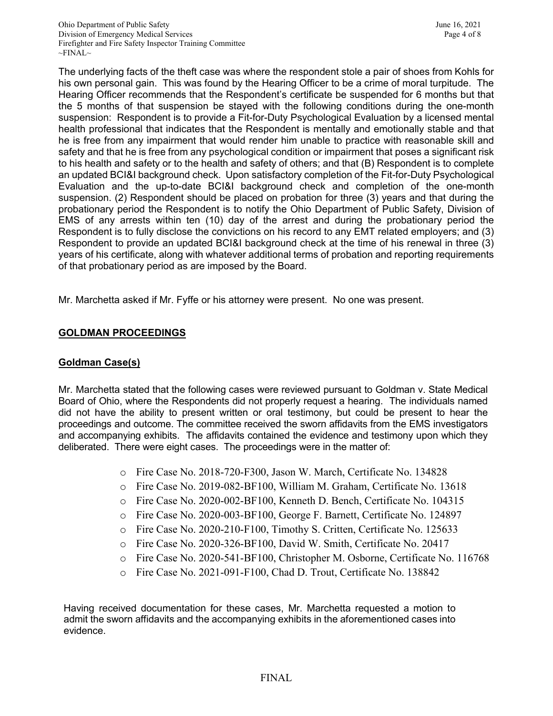The underlying facts of the theft case was where the respondent stole a pair of shoes from Kohls for his own personal gain. This was found by the Hearing Officer to be a crime of moral turpitude. The Hearing Officer recommends that the Respondent's certificate be suspended for 6 months but that the 5 months of that suspension be stayed with the following conditions during the one-month suspension: Respondent is to provide a Fit-for-Duty Psychological Evaluation by a licensed mental health professional that indicates that the Respondent is mentally and emotionally stable and that he is free from any impairment that would render him unable to practice with reasonable skill and safety and that he is free from any psychological condition or impairment that poses a significant risk to his health and safety or to the health and safety of others; and that (B) Respondent is to complete an updated BCI&I background check. Upon satisfactory completion of the Fit-for-Duty Psychological Evaluation and the up-to-date BCI&I background check and completion of the one-month suspension. (2) Respondent should be placed on probation for three (3) years and that during the probationary period the Respondent is to notify the Ohio Department of Public Safety, Division of EMS of any arrests within ten (10) day of the arrest and during the probationary period the Respondent is to fully disclose the convictions on his record to any EMT related employers; and (3) Respondent to provide an updated BCI&I background check at the time of his renewal in three (3) years of his certificate, along with whatever additional terms of probation and reporting requirements of that probationary period as are imposed by the Board.

Mr. Marchetta asked if Mr. Fyffe or his attorney were present. No one was present.

# **GOLDMAN PROCEEDINGS**

## **Goldman Case(s)**

Mr. Marchetta stated that the following cases were reviewed pursuant to Goldman v. State Medical Board of Ohio, where the Respondents did not properly request a hearing. The individuals named did not have the ability to present written or oral testimony, but could be present to hear the proceedings and outcome. The committee received the sworn affidavits from the EMS investigators and accompanying exhibits. The affidavits contained the evidence and testimony upon which they deliberated. There were eight cases. The proceedings were in the matter of:

- o Fire Case No. 2018-720-F300, Jason W. March, Certificate No. 134828
- o Fire Case No. 2019-082-BF100, William M. Graham, Certificate No. 13618
- o Fire Case No. 2020-002-BF100, Kenneth D. Bench, Certificate No. 104315
- o Fire Case No. 2020-003-BF100, George F. Barnett, Certificate No. 124897
- o Fire Case No. 2020-210-F100, Timothy S. Critten, Certificate No. 125633
- o Fire Case No. 2020-326-BF100, David W. Smith, Certificate No. 20417
- o Fire Case No. 2020-541-BF100, Christopher M. Osborne, Certificate No. 116768
- o Fire Case No. 2021-091-F100, Chad D. Trout, Certificate No. 138842

Having received documentation for these cases, Mr. Marchetta requested a motion to admit the sworn affidavits and the accompanying exhibits in the aforementioned cases into evidence.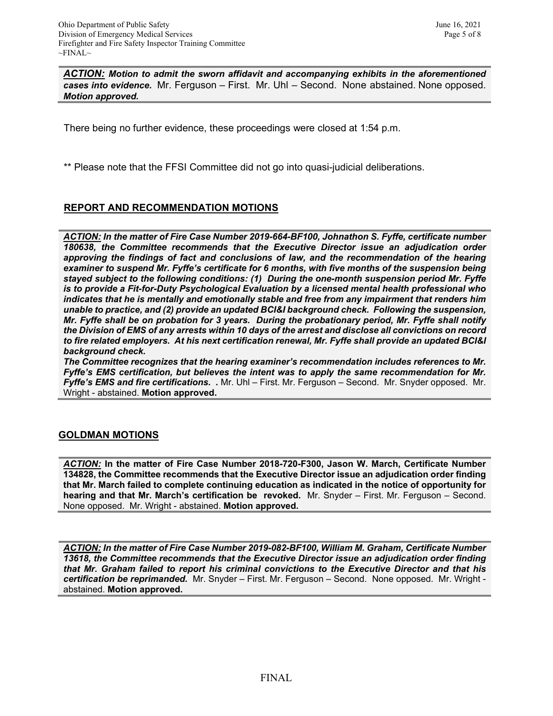*ACTION: Motion to admit the sworn affidavit and accompanying exhibits in the aforementioned cases into evidence.* Mr. Ferguson – First. Mr. Uhl – Second. None abstained. None opposed. *Motion approved.* 

There being no further evidence, these proceedings were closed at 1:54 p.m.

\*\* Please note that the FFSI Committee did not go into quasi-judicial deliberations.

## **REPORT AND RECOMMENDATION MOTIONS**

*ACTION: In the matter of Fire Case Number 2019-664-BF100, Johnathon S. Fyffe, certificate number 180638, the Committee recommends that the Executive Director issue an adjudication order approving the findings of fact and conclusions of law, and the recommendation of the hearing examiner to suspend Mr. Fyffe's certificate for 6 months, with five months of the suspension being stayed subject to the following conditions: (1) During the one-month suspension period Mr. Fyffe is to provide a Fit-for-Duty Psychological Evaluation by a licensed mental health professional who indicates that he is mentally and emotionally stable and free from any impairment that renders him unable to practice, and (2) provide an updated BCI&I background check. Following the suspension, Mr. Fyffe shall be on probation for 3 years. During the probationary period, Mr. Fyffe shall notify the Division of EMS of any arrests within 10 days of the arrest and disclose all convictions on record to fire related employers. At his next certification renewal, Mr. Fyffe shall provide an updated BCI&I background check.*

*The Committee recognizes that the hearing examiner's recommendation includes references to Mr. Fyffe's EMS certification, but believes the intent was to apply the same recommendation for Mr. Fyffe's EMS and fire certifications. .* Mr. Uhl – First. Mr. Ferguson – Second. Mr. Snyder opposed. Mr. Wright - abstained. **Motion approved.** 

#### **GOLDMAN MOTIONS**

*ACTION:* **In the matter of Fire Case Number 2018-720-F300, Jason W. March, Certificate Number 134828, the Committee recommends that the Executive Director issue an adjudication order finding that Mr. March failed to complete continuing education as indicated in the notice of opportunity for hearing and that Mr. March's certification be revoked.** Mr. Snyder – First. Mr. Ferguson – Second. None opposed. Mr. Wright - abstained. **Motion approved.** 

*ACTION: In the matter of Fire Case Number 2019-082-BF100, William M. Graham, Certificate Number 13618, the Committee recommends that the Executive Director issue an adjudication order finding that Mr. Graham failed to report his criminal convictions to the Executive Director and that his certification be reprimanded.* Mr. Snyder – First. Mr. Ferguson – Second. None opposed. Mr. Wright abstained. **Motion approved.**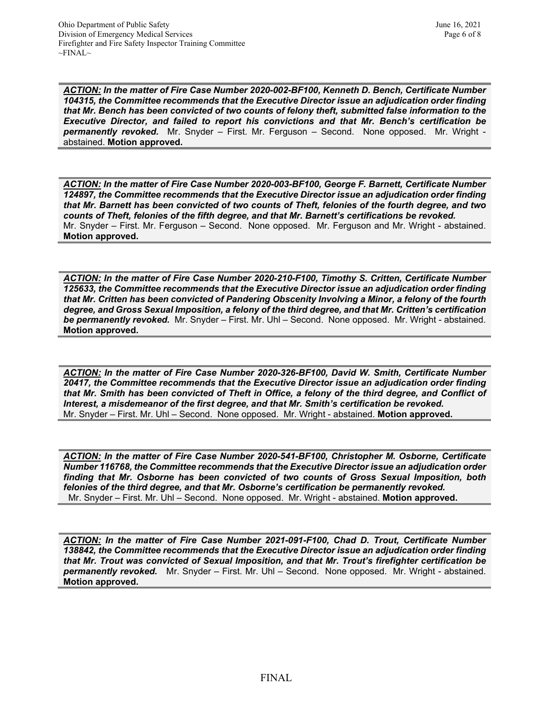*ACTION: In the matter of Fire Case Number 2020-002-BF100, Kenneth D. Bench, Certificate Number 104315, the Committee recommends that the Executive Director issue an adjudication order finding that Mr. Bench has been convicted of two counts of felony theft, submitted false information to the Executive Director, and failed to report his convictions and that Mr. Bench's certification be permanently revoked.* Mr. Snyder – First. Mr. Ferguson – Second. None opposed. Mr. Wright abstained. **Motion approved.** 

*ACTION: In the matter of Fire Case Number 2020-003-BF100, George F. Barnett, Certificate Number 124897, the Committee recommends that the Executive Director issue an adjudication order finding that Mr. Barnett has been convicted of two counts of Theft, felonies of the fourth degree, and two counts of Theft, felonies of the fifth degree, and that Mr. Barnett's certifications be revoked.*  Mr. Snyder – First. Mr. Ferguson – Second. None opposed. Mr. Ferguson and Mr. Wright - abstained. **Motion approved.** 

*ACTION: In the matter of Fire Case Number 2020-210-F100, Timothy S. Critten, Certificate Number 125633, the Committee recommends that the Executive Director issue an adjudication order finding that Mr. Critten has been convicted of Pandering Obscenity Involving a Minor, a felony of the fourth degree, and Gross Sexual Imposition, a felony of the third degree, and that Mr. Critten's certification be permanently revoked.* Mr. Snyder – First. Mr. Uhl – Second. None opposed. Mr. Wright - abstained. **Motion approved.** 

*ACTION: In the matter of Fire Case Number 2020-326-BF100, David W. Smith, Certificate Number 20417, the Committee recommends that the Executive Director issue an adjudication order finding that Mr. Smith has been convicted of Theft in Office, a felony of the third degree, and Conflict of Interest, a misdemeanor of the first degree, and that Mr. Smith's certification be revoked.*  Mr. Snyder – First. Mr. Uhl – Second. None opposed. Mr. Wright - abstained. **Motion approved.** 

*ACTION: In the matter of Fire Case Number 2020-541-BF100, Christopher M. Osborne, Certificate Number 116768, the Committee recommends that the Executive Director issue an adjudication order finding that Mr. Osborne has been convicted of two counts of Gross Sexual Imposition, both felonies of the third degree, and that Mr. Osborne's certification be permanently revoked.* Mr. Snyder – First. Mr. Uhl – Second. None opposed. Mr. Wright - abstained. **Motion approved.** 

*ACTION: In the matter of Fire Case Number 2021-091-F100, Chad D. Trout, Certificate Number 138842, the Committee recommends that the Executive Director issue an adjudication order finding that Mr. Trout was convicted of Sexual Imposition, and that Mr. Trout's firefighter certification be permanently revoked.* Mr. Snyder – First. Mr. Uhl – Second. None opposed. Mr. Wright - abstained. **Motion approved.**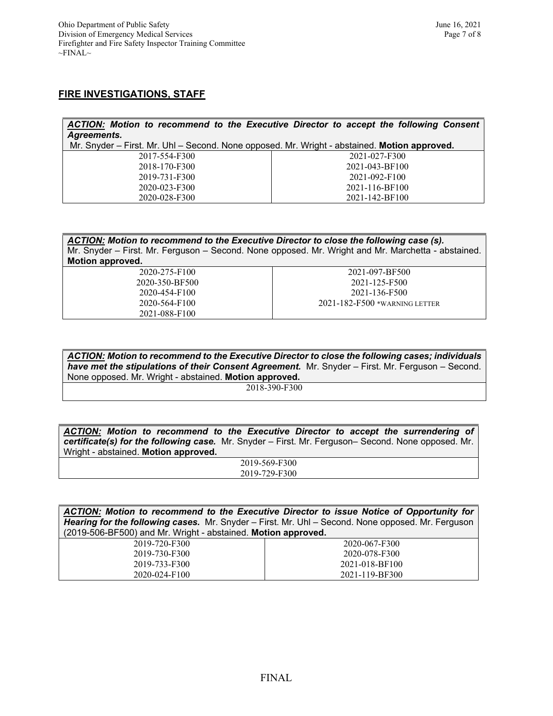#### **FIRE INVESTIGATIONS, STAFF**

| ACTION: Motion to recommend to the Executive Director to accept the following Consent        |                |  |  |  |
|----------------------------------------------------------------------------------------------|----------------|--|--|--|
| Agreements.                                                                                  |                |  |  |  |
| Mr. Snyder – First. Mr. Uhl – Second. None opposed. Mr. Wright - abstained. Motion approved. |                |  |  |  |
| 2017-554-F300                                                                                | 2021-027-F300  |  |  |  |
| 2018-170-F300                                                                                | 2021-043-BF100 |  |  |  |
| 2019-731-F300                                                                                | 2021-092-F100  |  |  |  |
| 2020-023-F300                                                                                | 2021-116-BF100 |  |  |  |
| 2020-028-F300                                                                                | 2021-142-BF100 |  |  |  |

| ACTION: Motion to recommend to the Executive Director to close the following case (s).             |                               |  |  |  |
|----------------------------------------------------------------------------------------------------|-------------------------------|--|--|--|
| Mr. Snyder – First. Mr. Ferguson – Second. None opposed. Mr. Wright and Mr. Marchetta - abstained. |                               |  |  |  |
| Motion approved.                                                                                   |                               |  |  |  |
| 2020-275-F100                                                                                      | 2021-097-BF500                |  |  |  |
| 2020-350-BF500                                                                                     | 2021-125-F500                 |  |  |  |
| 2020-454-F100                                                                                      | 2021-136-F500                 |  |  |  |
| 2020-564-F100                                                                                      | 2021-182-F500 *WARNING LETTER |  |  |  |
| 2021-088-F100                                                                                      |                               |  |  |  |

*ACTION: Motion to recommend to the Executive Director to close the following cases; individuals have met the stipulations of their Consent Agreement.* Mr. Snyder – First. Mr. Ferguson – Second. None opposed. Mr. Wright - abstained. **Motion approved.**

2018-390-F300

*ACTION: Motion to recommend to the Executive Director to accept the surrendering of certificate(s) for the following case.* Mr. Snyder – First. Mr. Ferguson– Second. None opposed. Mr. Wright - abstained. **Motion approved.**

> 2019-569-F300 2019-729-F300

| ACTION: Motion to recommend to the Executive Director to issue Notice of Opportunity for                 |  |
|----------------------------------------------------------------------------------------------------------|--|
| <b>Hearing for the following cases.</b> Mr. Snyder – First. Mr. Uhl – Second. None opposed. Mr. Ferguson |  |
| (2019-506-BF500) and Mr. Wright - abstained. Motion approved.                                            |  |

| 2019-720-F300 | 2020-067-F300  |
|---------------|----------------|
| 2019-730-F300 | 2020-078-F300  |
| 2019-733-F300 | 2021-018-BF100 |
| 2020-024-F100 | 2021-119-BF300 |